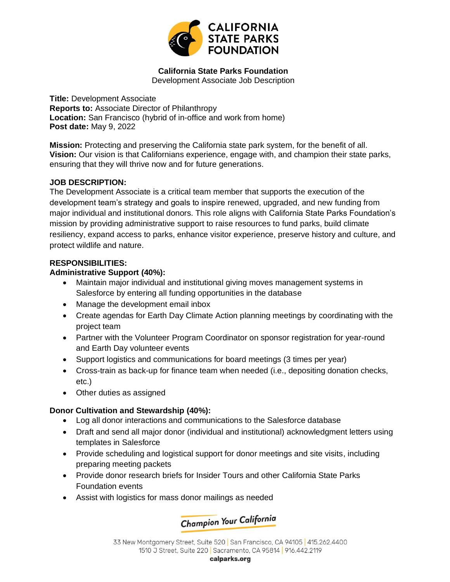

# **California State Parks Foundation**

Development Associate Job Description

**Title:** Development Associate **Reports to:** Associate Director of Philanthropy **Location:** San Francisco (hybrid of in-office and work from home) **Post date:** May 9, 2022

**Mission:** Protecting and preserving the California state park system, for the benefit of all. **Vision:** Our vision is that Californians experience, engage with, and champion their state parks, ensuring that they will thrive now and for future generations.

### **JOB DESCRIPTION:**

The Development Associate is a critical team member that supports the execution of the development team's strategy and goals to inspire renewed, upgraded, and new funding from major individual and institutional donors. This role aligns with California State Parks Foundation's mission by providing administrative support to raise resources to fund parks, build climate resiliency, expand access to parks, enhance visitor experience, preserve history and culture, and protect wildlife and nature.

### **RESPONSIBILITIES:**

### **Administrative Support (40%):**

- Maintain major individual and institutional giving moves management systems in Salesforce by entering all funding opportunities in the database
- Manage the development email inbox
- Create agendas for Earth Day Climate Action planning meetings by coordinating with the project team
- Partner with the Volunteer Program Coordinator on sponsor registration for year-round and Earth Day volunteer events
- Support logistics and communications for board meetings (3 times per year)
- Cross-train as back-up for finance team when needed (i.e., depositing donation checks, etc.)
- Other duties as assigned

## **Donor Cultivation and Stewardship (40%):**

- Log all donor interactions and communications to the Salesforce database
- Draft and send all major donor (individual and institutional) acknowledgment letters using templates in Salesforce
- Provide scheduling and logistical support for donor meetings and site visits, including preparing meeting packets
- Provide donor research briefs for Insider Tours and other California State Parks Foundation events
- Assist with logistics for mass donor mailings as needed

**Champion Your California** 

33 New Montgomery Street, Suite 520 San Francisco, CA 94105 415.262.4400 1510 J Street, Suite 220 | Sacramento, CA 95814 | 916.442.2119

calparks.org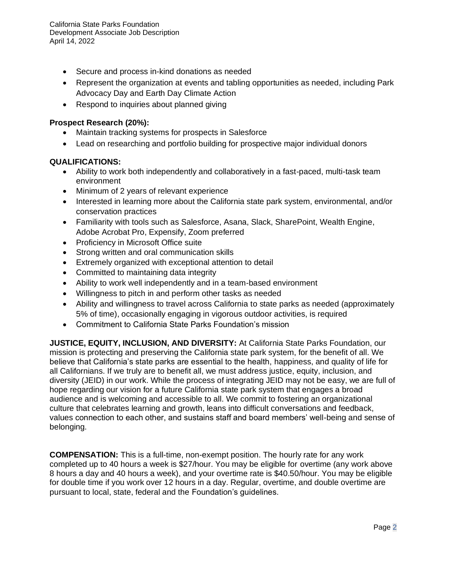California State Parks Foundation Development Associate Job Description April 14, 2022

- Secure and process in-kind donations as needed
- Represent the organization at events and tabling opportunities as needed, including Park Advocacy Day and Earth Day Climate Action
- Respond to inquiries about planned giving

#### **Prospect Research (20%):**

- Maintain tracking systems for prospects in Salesforce
- Lead on researching and portfolio building for prospective major individual donors

#### **QUALIFICATIONS:**

- Ability to work both independently and collaboratively in a fast-paced, multi-task team environment
- Minimum of 2 years of relevant experience
- Interested in learning more about the California state park system, environmental, and/or conservation practices
- Familiarity with tools such as Salesforce, Asana, Slack, SharePoint, Wealth Engine, Adobe Acrobat Pro, Expensify, Zoom preferred
- Proficiency in Microsoft Office suite
- Strong written and oral communication skills
- Extremely organized with exceptional attention to detail
- Committed to maintaining data integrity
- Ability to work well independently and in a team-based environment
- Willingness to pitch in and perform other tasks as needed
- Ability and willingness to travel across California to state parks as needed (approximately 5% of time), occasionally engaging in vigorous outdoor activities, is required
- Commitment to California State Parks Foundation's mission

**JUSTICE, EQUITY, INCLUSION, AND DIVERSITY:** At California State Parks Foundation, our mission is protecting and preserving the California state park system, for the benefit of all. We believe that California's state parks are essential to the health, happiness, and quality of life for all Californians. If we truly are to benefit all, we must address justice, equity, inclusion, and diversity (JEID) in our work. While the process of integrating JEID may not be easy, we are full of hope regarding our vision for a future California state park system that engages a broad audience and is welcoming and accessible to all. We commit to fostering an organizational culture that celebrates learning and growth, leans into difficult conversations and feedback, values connection to each other, and sustains staff and board members' well-being and sense of belonging.

**COMPENSATION:** This is a full-time, non-exempt position. The hourly rate for any work completed up to 40 hours a week is \$27/hour. You may be eligible for overtime (any work above 8 hours a day and 40 hours a week), and your overtime rate is \$40.50/hour. You may be eligible for double time if you work over 12 hours in a day. Regular, overtime, and double overtime are pursuant to local, state, federal and the Foundation's guidelines.